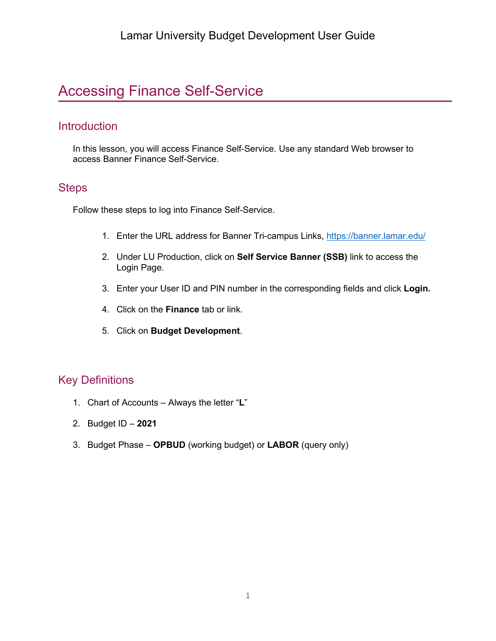## Accessing Finance Self-Service

#### **Introduction**

In this lesson, you will access Finance Self-Service. Use any standard Web browser to access Banner Finance Self-Service.

#### **Steps**

Follow these steps to log into Finance Self-Service.

- 1. Enter the URL address for Banner Tri-campus Links,<https://banner.lamar.edu/>
- 2. Under LU Production, click on **Self Service Banner (SSB)** link to access the Login Page.
- 3. Enter your User ID and PIN number in the corresponding fields and click **Login.**
- 4. Click on the **Finance** tab or link.
- 5. Click on **Budget Development**.

### Key Definitions

- 1. Chart of Accounts Always the letter "**L**"
- 2. Budget ID **2021**
- 3. Budget Phase **OPBUD** (working budget) or **LABOR** (query only)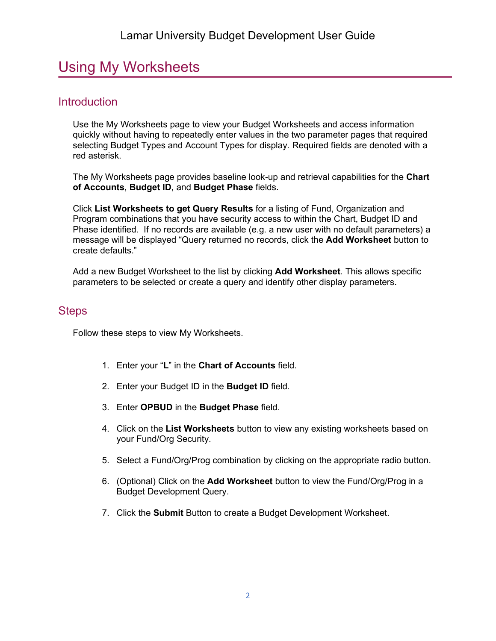## Using My Worksheets

## **Introduction**

Use the My Worksheets page to view your Budget Worksheets and access information quickly without having to repeatedly enter values in the two parameter pages that required selecting Budget Types and Account Types for display. Required fields are denoted with a red asterisk.

The My Worksheets page provides baseline look-up and retrieval capabilities for the **Chart of Accounts**, **Budget ID**, and **Budget Phase** fields.

Click **List Worksheets to get Query Results** for a listing of Fund, Organization and Program combinations that you have security access to within the Chart, Budget ID and Phase identified. If no records are available (e.g. a new user with no default parameters) a message will be displayed "Query returned no records, click the **Add Worksheet** button to create defaults."

Add a new Budget Worksheet to the list by clicking **Add Worksheet**. This allows specific parameters to be selected or create a query and identify other display parameters.

#### **Steps**

Follow these steps to view My Worksheets.

- 1. Enter your "**L**" in the **Chart of Accounts** field.
- 2. Enter your Budget ID in the **Budget ID** field.
- 3. Enter **OPBUD** in the **Budget Phase** field.
- 4. Click on the **List Worksheets** button to view any existing worksheets based on your Fund/Org Security.
- 5. Select a Fund/Org/Prog combination by clicking on the appropriate radio button.
- 6. (Optional) Click on the **Add Worksheet** button to view the Fund/Org/Prog in a Budget Development Query.
- 7. Click the **Submit** Button to create a Budget Development Worksheet.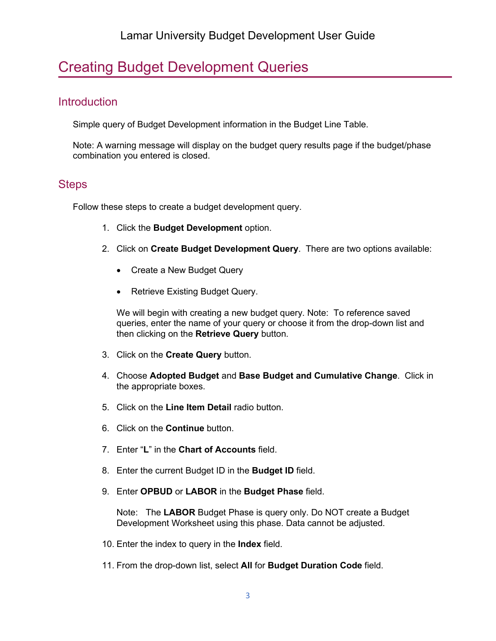# Creating Budget Development Queries

## **Introduction**

Simple query of Budget Development information in the Budget Line Table.

Note: A warning message will display on the budget query results page if the budget/phase combination you entered is closed.

## **Steps**

Follow these steps to create a budget development query.

- 1. Click the **Budget Development** option.
- 2. Click on **Create Budget Development Query**. There are two options available:
	- Create a New Budget Query
	- Retrieve Existing Budget Query.

We will begin with creating a new budget query. Note: To reference saved queries, enter the name of your query or choose it from the drop-down list and then clicking on the **Retrieve Query** button.

- 3. Click on the **Create Query** button.
- 4. Choose **Adopted Budget** and **Base Budget and Cumulative Change**. Click in the appropriate boxes.
- 5. Click on the **Line Item Detail** radio button.
- 6. Click on the **Continue** button.
- 7. Enter "**L**" in the **Chart of Accounts** field.
- 8. Enter the current Budget ID in the **Budget ID** field.
- 9. Enter **OPBUD** or **LABOR** in the **Budget Phase** field.

Note: The **LABOR** Budget Phase is query only. Do NOT create a Budget Development Worksheet using this phase. Data cannot be adjusted.

- 10. Enter the index to query in the **Index** field.
- 11. From the drop-down list, select **All** for **Budget Duration Code** field.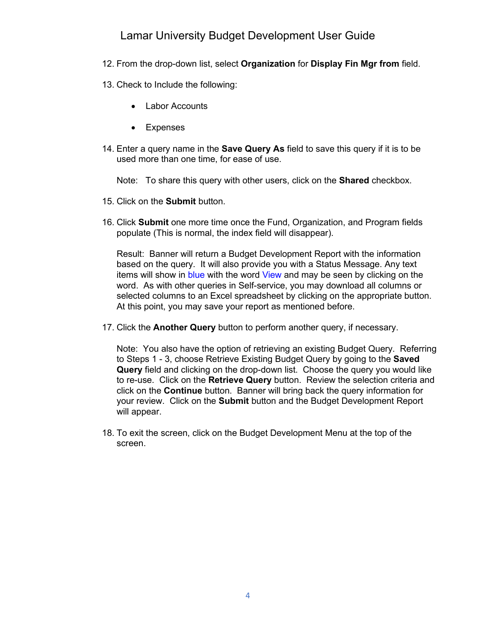### Lamar University Budget Development User Guide

- 12. From the drop-down list, select **Organization** for **Display Fin Mgr from** field.
- 13. Check to Include the following:
	- Labor Accounts
	- Expenses
- 14. Enter a query name in the **Save Query As** field to save this query if it is to be used more than one time, for ease of use.

Note: To share this query with other users, click on the **Shared** checkbox.

- 15. Click on the **Submit** button.
- 16. Click **Submit** one more time once the Fund, Organization, and Program fields populate (This is normal, the index field will disappear).

Result: Banner will return a Budget Development Report with the information based on the query. It will also provide you with a Status Message. Any text items will show in blue with the word View and may be seen by clicking on the word. As with other queries in Self-service, you may download all columns or selected columns to an Excel spreadsheet by clicking on the appropriate button. At this point, you may save your report as mentioned before.

17. Click the **Another Query** button to perform another query, if necessary.

Note: You also have the option of retrieving an existing Budget Query. Referring to Steps 1 - 3, choose Retrieve Existing Budget Query by going to the **Saved Query** field and clicking on the drop-down list. Choose the query you would like to re-use. Click on the **Retrieve Query** button. Review the selection criteria and click on the **Continue** button. Banner will bring back the query information for your review. Click on the **Submit** button and the Budget Development Report will appear.

18. To exit the screen, click on the Budget Development Menu at the top of the screen.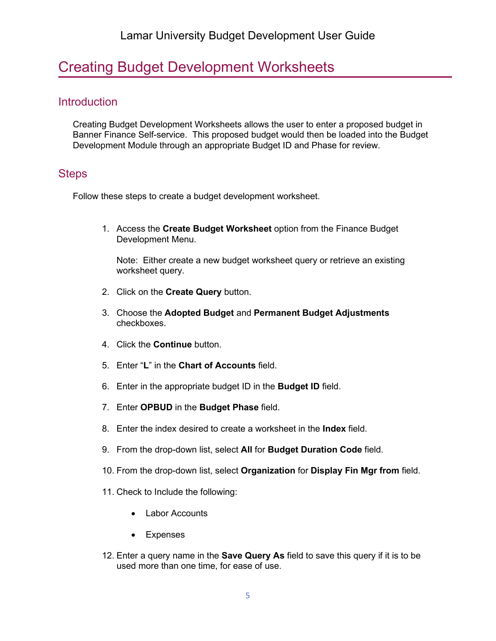## Creating Budget Development Worksheets

### **Introduction**

Creating Budget Development Worksheets allows the user to enter a proposed budget in Banner Finance Self-service. This proposed budget would then be loaded into the Budget Development Module through an appropriate Budget ID and Phase for review.

#### **Steps**

Follow these steps to create a budget development worksheet.

1. Access the **Create Budget Worksheet** option from the Finance Budget Development Menu.

Note: Either create a new budget worksheet query or retrieve an existing worksheet query.

- 2. Click on the **Create Query** button.
- 3. Choose the **Adopted Budget** and **Permanent Budget Adjustments** checkboxes.
- 4. Click the **Continue** button.
- 5. Enter "**L**" in the **Chart of Accounts** field.
- 6. Enter in the appropriate budget ID in the **Budget ID** field.
- 7. Enter **OPBUD** in the **Budget Phase** field.
- 8. Enter the index desired to create a worksheet in the **Index** field.
- 9. From the drop-down list, select **All** for **Budget Duration Code** field.
- 10. From the drop-down list, select **Organization** for **Display Fin Mgr from** field.
- 11. Check to Include the following:
	- Labor Accounts
	- Expenses
- 12. Enter a query name in the **Save Query As** field to save this query if it is to be used more than one time, for ease of use.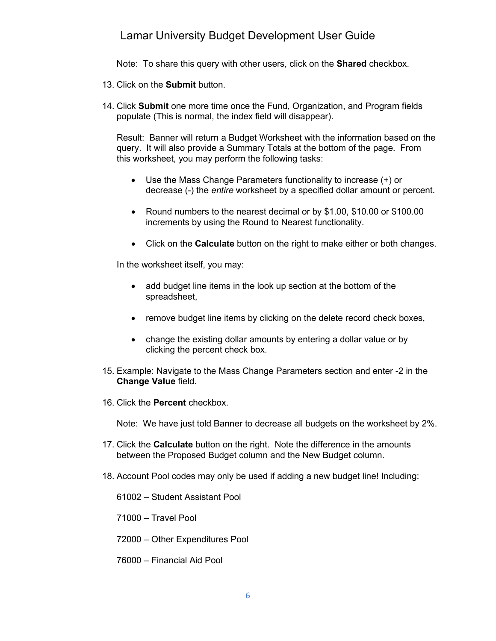#### Lamar University Budget Development User Guide

Note: To share this query with other users, click on the **Shared** checkbox.

- 13. Click on the **Submit** button.
- 14. Click **Submit** one more time once the Fund, Organization, and Program fields populate (This is normal, the index field will disappear).

Result: Banner will return a Budget Worksheet with the information based on the query. It will also provide a Summary Totals at the bottom of the page. From this worksheet, you may perform the following tasks:

- Use the Mass Change Parameters functionality to increase (+) or decrease (-) the *entire* worksheet by a specified dollar amount or percent.
- Round numbers to the nearest decimal or by \$1.00, \$10.00 or \$100.00 increments by using the Round to Nearest functionality.
- Click on the **Calculate** button on the right to make either or both changes.

In the worksheet itself, you may:

- add budget line items in the look up section at the bottom of the spreadsheet,
- remove budget line items by clicking on the delete record check boxes,
- change the existing dollar amounts by entering a dollar value or by clicking the percent check box.
- 15. Example: Navigate to the Mass Change Parameters section and enter -2 in the **Change Value** field.
- 16. Click the **Percent** checkbox.

Note: We have just told Banner to decrease all budgets on the worksheet by 2%.

- 17. Click the **Calculate** button on the right. Note the difference in the amounts between the Proposed Budget column and the New Budget column.
- 18. Account Pool codes may only be used if adding a new budget line! Including:

61002 – Student Assistant Pool

71000 – Travel Pool

- 72000 Other Expenditures Pool
- 76000 Financial Aid Pool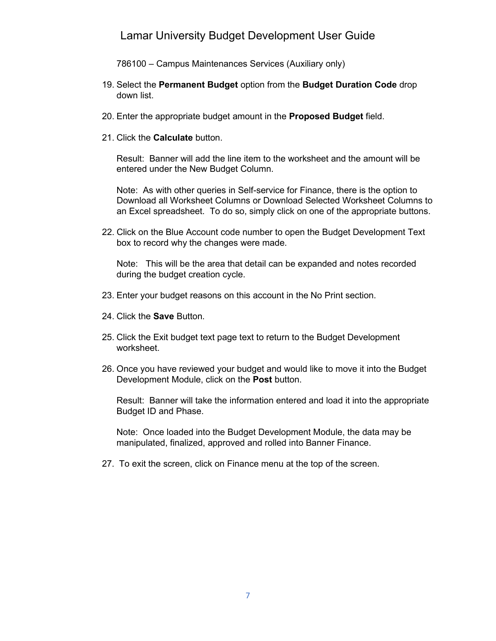#### Lamar University Budget Development User Guide

786100 – Campus Maintenances Services (Auxiliary only)

- 19. Select the **Permanent Budget** option from the **Budget Duration Code** drop down list.
- 20. Enter the appropriate budget amount in the **Proposed Budget** field.
- 21. Click the **Calculate** button.

Result: Banner will add the line item to the worksheet and the amount will be entered under the New Budget Column.

Note: As with other queries in Self-service for Finance, there is the option to Download all Worksheet Columns or Download Selected Worksheet Columns to an Excel spreadsheet. To do so, simply click on one of the appropriate buttons.

22. Click on the Blue Account code number to open the Budget Development Text box to record why the changes were made.

Note: This will be the area that detail can be expanded and notes recorded during the budget creation cycle.

- 23. Enter your budget reasons on this account in the No Print section.
- 24. Click the **Save** Button.
- 25. Click the Exit budget text page text to return to the Budget Development worksheet.
- 26. Once you have reviewed your budget and would like to move it into the Budget Development Module, click on the **Post** button.

Result: Banner will take the information entered and load it into the appropriate Budget ID and Phase.

Note: Once loaded into the Budget Development Module, the data may be manipulated, finalized, approved and rolled into Banner Finance.

27. To exit the screen, click on Finance menu at the top of the screen.